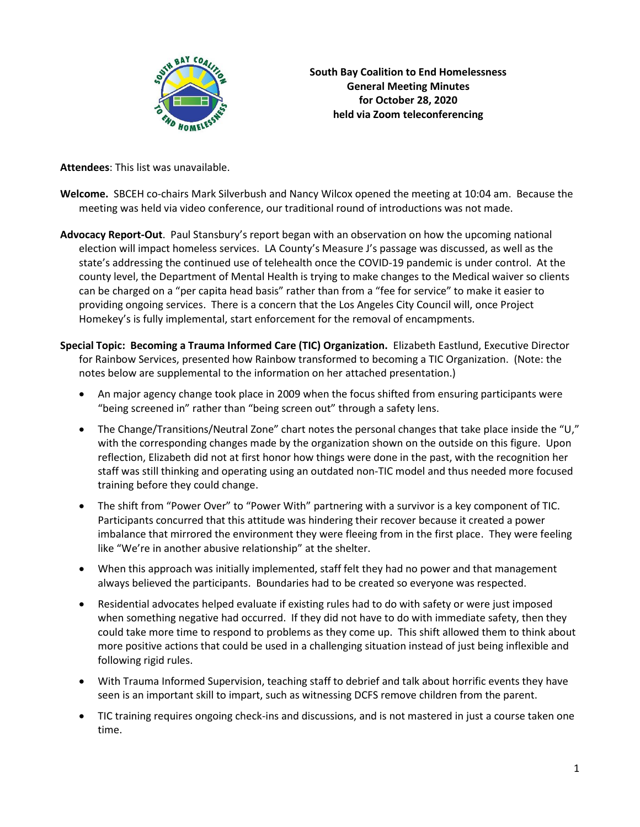

**South Bay Coalition to End Homelessness General Meeting Minutes for October 28, 2020 held via Zoom teleconferencing**

**Attendees**: This list was unavailable.

- **Welcome.** SBCEH co-chairs Mark Silverbush and Nancy Wilcox opened the meeting at 10:04 am. Because the meeting was held via video conference, our traditional round of introductions was not made.
- **Advocacy Report-Out**. Paul Stansbury's report began with an observation on how the upcoming national election will impact homeless services. LA County's Measure J's passage was discussed, as well as the state's addressing the continued use of telehealth once the COVID-19 pandemic is under control. At the county level, the Department of Mental Health is trying to make changes to the Medical waiver so clients can be charged on a "per capita head basis" rather than from a "fee for service" to make it easier to providing ongoing services. There is a concern that the Los Angeles City Council will, once Project Homekey's is fully implemental, start enforcement for the removal of encampments.
- **Special Topic: Becoming a Trauma Informed Care (TIC) Organization.** Elizabeth Eastlund, Executive Director for Rainbow Services, presented how Rainbow transformed to becoming a TIC Organization. (Note: the notes below are supplemental to the information on her attached presentation.)
	- An major agency change took place in 2009 when the focus shifted from ensuring participants were "being screened in" rather than "being screen out" through a safety lens.
	- The Change/Transitions/Neutral Zone" chart notes the personal changes that take place inside the "U," with the corresponding changes made by the organization shown on the outside on this figure. Upon reflection, Elizabeth did not at first honor how things were done in the past, with the recognition her staff was still thinking and operating using an outdated non-TIC model and thus needed more focused training before they could change.
	- The shift from "Power Over" to "Power With" partnering with a survivor is a key component of TIC. Participants concurred that this attitude was hindering their recover because it created a power imbalance that mirrored the environment they were fleeing from in the first place. They were feeling like "We're in another abusive relationship" at the shelter.
	- When this approach was initially implemented, staff felt they had no power and that management always believed the participants. Boundaries had to be created so everyone was respected.
	- Residential advocates helped evaluate if existing rules had to do with safety or were just imposed when something negative had occurred. If they did not have to do with immediate safety, then they could take more time to respond to problems as they come up. This shift allowed them to think about more positive actions that could be used in a challenging situation instead of just being inflexible and following rigid rules.
	- With Trauma Informed Supervision, teaching staff to debrief and talk about horrific events they have seen is an important skill to impart, such as witnessing DCFS remove children from the parent.
	- TIC training requires ongoing check-ins and discussions, and is not mastered in just a course taken one time.